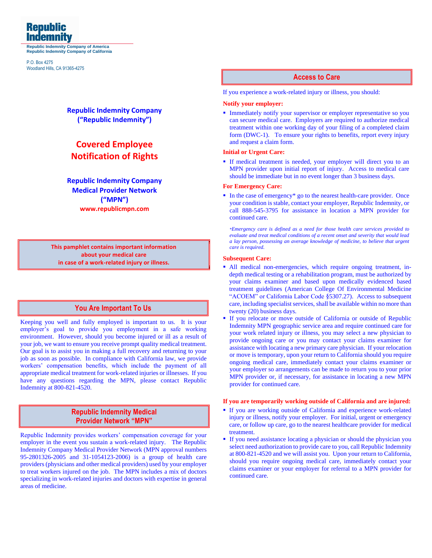

**Republic Indemnity Company of America Republic Indemnity Company of California**

P.O. Box 4275 Woodland Hills, CA 91365-4275

# **Republic Indemnity Company ("Republic Indemnity")**

# **Covered Employee Notification of Rights**

**Republic Indemnity Company Medical Provider Network ("MPN") www.republicmpn.com**

This pamphlet contains important information **This pamphlet contains important information** about your medical care **about your medical care** in case of a work-related injury or illness. **in case of a work-related injury or illness.**

# **You Are Important To Us You Are Important To Us**

Keeping you well and fully employed is important to us. It is your employer's goal to provide you employment in a safe working environment. However, should you become injured or ill as a result of your job, we want to ensure you receive prompt quality medical treatment. Our goal is to assist you in making a full recovery and returning to your job as soon as possible. In compliance with California law, we provide workers' compensation benefits, which include the payment of all appropriate medical treatment for work-related injuries or illnesses. If you have any questions regarding the MPN, please contact Republic Indemnity at 800-821-4520.

# **Republic Indemnity Medical Republic Indemnity Medical Provider Network "MPN" Provider Network "MPN"**

Republic Indemnity provides workers' compensation coverage for your employer in the event you sustain a work-related injury. The Republic Indemnity Company Medical Provider Network (MPN approval numbers 95-2801326-2005 and 31-1054123-2006) is a group of health care providers (physicians and other medical providers) used by your employer to treat workers injured on the job. The MPN includes a mix of doctors specializing in work-related injuries and doctors with expertise in general areas of medicine.

### **Access to Care Access to Care**

If you experience a work-related injury or illness, you should:

#### **Notify your employer:**

**Immediately notify your supervisor or employer representative so you** can secure medical care. Employers are required to authorize medical treatment within one working day of your filing of a completed claim form (DWC-1). To ensure your rights to benefits, report every injury and request a claim form.

#### **Initial or Urgent Care:**

**•** If medical treatment is needed, your employer will direct you to an MPN provider upon initial report of injury. Access to medical care should be immediate but in no event longer than 3 business days.

### **For Emergency Care:**

■ In the case of emergency<sup>\*</sup> go to the nearest health-care provider. Once your condition is stable, contact your employer, Republic Indemnity, or call 888-545-3795 for assistance in location a MPN provider for continued care.

*\*Emergency care is defined as a need for those health care services provided to evaluate and treat medical conditions of a recent onset and severity that would lead a lay person, possessing an average knowledge of medicine, to believe that urgent care is required.*

#### **Subsequent Care:**

- All medical non-emergencies, which require ongoing treatment, indepth medical testing or a rehabilitation program, must be authorized by your claims examiner and based upon medically evidenced based treatment guidelines (American College Of Environmental Medicine "ACOEM" or California Labor Code §5307.27). Access to subsequent care, including specialist services, shall be available within no more than twenty (20) business days.
- If you relocate or move outside of California or outside of Republic Indemnity MPN geographic service area and require continued care for your work related injury or illness, you may select a new physician to provide ongoing care or you may contact your claims examiner for assistance with locating a new primary care physician. If your relocation or move is temporary, upon your return to California should you require ongoing medical care, immediately contact your claims examiner or your employer so arrangements can be made to return you to your prior MPN provider or, if necessary, for assistance in locating a new MPN provider for continued care.

#### **If you are temporarily working outside of California and are injured:**

- If you are working outside of California and experience work-related injury or illness, notify your employer. For initial, urgent or emergency care, or follow up care, go to the nearest healthcare provider for medical treatment.
- If you need assistance locating a physician or should the physician you select need authorization to provide care to you, call Republic Indemnity at 800-821-4520 and we will assist you. Upon your return to California, should you require ongoing medical care, immediately contact your claims examiner or your employer for referral to a MPN provider for continued care.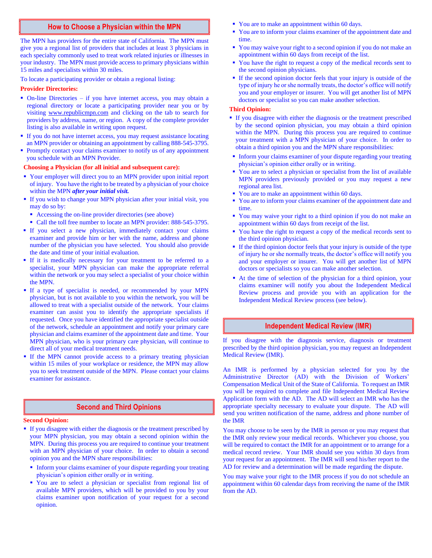### **How to Choose a Physician within the MPN How to Choose a Physician within the MPN**

The MPN has providers for the entire state of California. The MPN must give you a regional list of providers that includes at least 3 physicians in each specialty commonly used to treat work related injuries or illnesses in your industry. The MPN must provide access to primary physicians within 15 miles and specialists within 30 miles.

To locate a participating provider or obtain a regional listing:

#### **Provider Directories:**

- On-line Directories if you have internet access, you may obtain a regional directory or locate a participating provider near you or by visiting [www.republicmpn.com](http://www.republicmpn.com/) and clicking on the tab to search for providers by address, name, or region. A copy of the complete provider listing is also available in writing upon request.
- **If you do not have internet access, you may request assistance locating** an MPN provider or obtaining an appointment by calling 888-545-3795.
- Promptly contact your claims examiner to notify us of any appointment you schedule with an MPN Provider.

#### **Choosing a Physician (for all initial and subsequent care):**

- Your employer will direct you to an MPN provider upon initial report of injury. You have the right to be treated by a physician of your choice within the MPN *after your initial visit.*
- **If you wish to change your MPN physician after your initial visit, you** may do so by:
	- Accessing the on-line provider directories (see above)
	- Call the toll free number to locate an MPN provider: 888-545-3795.
- If you select a new physician, immediately contact your claims examiner and provide him or her with the name, address and phone number of the physician you have selected. You should also provide the date and time of your initial evaluation.
- If it is medically necessary for your treatment to be referred to a specialist, your MPN physician can make the appropriate referral within the network or you may select a specialist of your choice within the MPN.
- **•** If a type of specialist is needed, or recommended by your MPN physician, but is not available to you within the network, you will be allowed to treat with a specialist outside of the network. Your claims examiner can assist you to identify the appropriate specialists if requested. Once you have identified the appropriate specialist outside of the network, schedule an appointment and notify your primary care physician and claims examiner of the appointment date and time. Your MPN physician, who is your primary care physician, will continue to direct all of your medical treatment needs.
- **•** If the MPN cannot provide access to a primary treating physician within 15 miles of your workplace or residence, the MPN may allow you to seek treatment outside of the MPN. Please contact your claims examiner for assistance.

### **Second and Third Opinions Second and Third Opinions**

#### **Second Opinion:**

- If you disagree with either the diagnosis or the treatment prescribed by your MPN physician, you may obtain a second opinion within the MPN. During this process you are required to continue your treatment with an MPN physician of your choice. In order to obtain a second opinion you and the MPN share responsibilities:
	- **Inform your claims examiner of your dispute regarding your treating** physician's opinion either orally or in writing.
	- You are to select a physician or specialist from regional list of available MPN providers, which will be provided to you by your claims examiner upon notification of your request for a second opinion.
- You are to make an appointment within 60 days.
- You are to inform your claims examiner of the appointment date and time.
- You may waive your right to a second opinion if you do not make an appointment within 60 days from receipt of the list.
- You have the right to request a copy of the medical records sent to the second opinion physicians.
- If the second opinion doctor feels that your injury is outside of the type of injury he or she normally treats, the doctor's office will notify you and your employer or insurer. You will get another list of MPN doctors or specialist so you can make another selection.

#### **Third Opinion:**

- If you disagree with either the diagnosis or the treatment prescribed by the second opinion physician, you may obtain a third opinion within the MPN. During this process you are required to continue your treatment with a MPN physician of your choice. In order to obtain a third opinion you and the MPN share responsibilities:
- **•** Inform your claims examiner of your dispute regarding your treating physician's opinion either orally or in writing.
- You are to select a physician or specialist from the list of available MPN providers previously provided or you may request a new regional area list.
- You are to make an appointment within 60 days.
- You are to inform your claims examiner of the appointment date and time.
- You may waive your right to a third opinion if you do not make an appointment within 60 days from receipt of the list.
- You have the right to request a copy of the medical records sent to the third opinion physician.
- If the third opinion doctor feels that your injury is outside of the type of injury he or she normally treats, the doctor's office will notify you and your employer or insurer. You will get another list of MPN doctors or specialists so you can make another selection.
- At the time of selection of the physician for a third opinion, your claims examiner will notify you about the Independent Medical Review process and provide you with an application for the Independent Medical Review process (see below).

# **Independent Medical Review (IMR) Independent Medical Review (IMR)**

If you disagree with the diagnosis service, diagnosis or treatment prescribed by the third opinion physician, you may request an Independent Medical Review (IMR).

An IMR is performed by a physician selected for you by the Administrative Director (AD) with the Division of Workers' Compensation Medical Unit of the State of California. To request an IMR you will be required to complete and file Independent Medical Review Application form with the AD. The AD will select an IMR who has the appropriate specialty necessary to evaluate your dispute. The AD will send you written notification of the name, address and phone number of the IMR.

You may choose to be seen by the IMR in person or you may request that the IMR only review your medical records. Whichever you choose, you will be required to contact the IMR for an appointment or to arrange for a medical record review. Your IMR should see you within 30 days from your request for an appointment. The IMR will send his/her report to the AD for review and a determination will be made regarding the dispute.

You may waive your right to the IMR process if you do not schedule an appointment within 60 calendar days from receiving the name of the IMR from the AD.